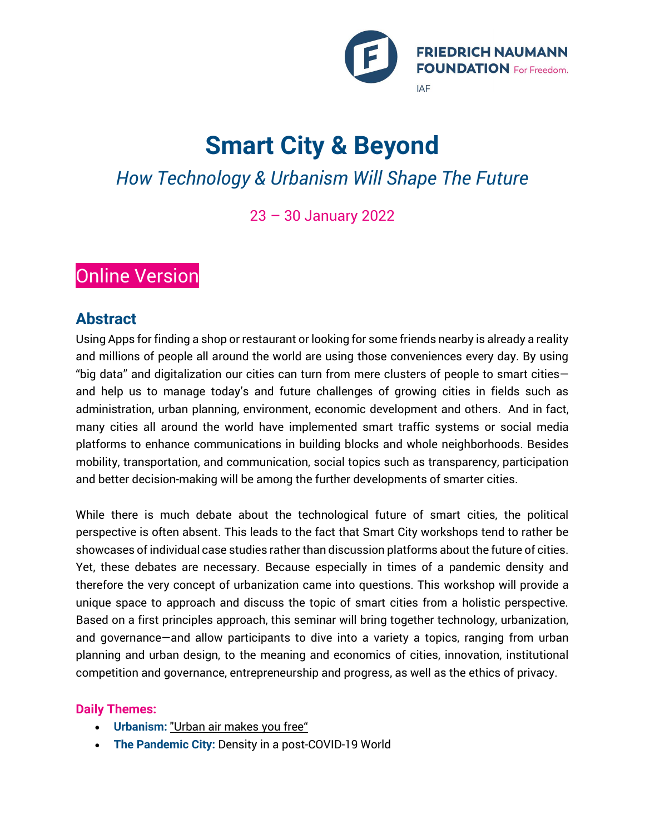

# **Smart City & Beyond**

# *How Technology & Urbanism Will Shape The Future*

23 – 30 January 2022

## **Online Version**

### **Abstract**

Using Apps for finding a shop or restaurant or looking for some friends nearby is already a reality and millions of people all around the world are using those conveniences every day. By using "big data" and digitalization our cities can turn from mere clusters of people to smart cities and help us to manage today's and future challenges of growing cities in fields such as administration, urban planning, environment, economic development and others. And in fact, many cities all around the world have implemented smart traffic systems or social media platforms to enhance communications in building blocks and whole neighborhoods. Besides mobility, transportation, and communication, social topics such as transparency, participation and better decision-making will be among the further developments of smarter cities.

While there is much debate about the technological future of smart cities, the political perspective is often absent. This leads to the fact that Smart City workshops tend to rather be showcases of individual case studies rather than discussion platforms about the future of cities. Yet, these debates are necessary. Because especially in times of a pandemic density and therefore the very concept of urbanization came into questions. This workshop will provide a unique space to approach and discuss the topic of smart cities from a holistic perspective. Based on a first principles approach, this seminar will bring together technology, urbanization, and governance—and allow participants to dive into a variety a topics, ranging from urban planning and urban design, to the meaning and economics of cities, innovation, institutional competition and governance, entrepreneurship and progress, as well as the ethics of privacy.

### **Daily Themes:**

- **Urbanism:** ["Urban air makes you free"](https://en.wikipedia.org/wiki/Stadtluft_macht_frei)
- **The Pandemic City:** Density in a post-COVID-19 World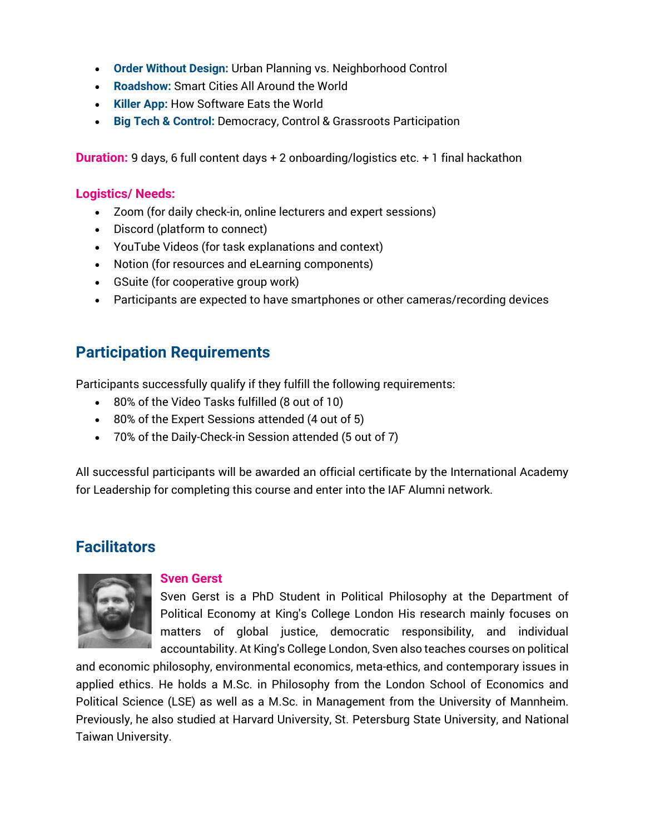- **Order Without Design:** Urban Planning vs. Neighborhood Control
- **Roadshow:** Smart Cities All Around the World
- **Killer App:** How Software Eats the World
- **Big Tech & Control:** Democracy, Control & Grassroots Participation

**Duration:** 9 days, 6 full content days + 2 onboarding/logistics etc. + 1 final hackathon

#### **Logistics/ Needs:**

- Zoom (for daily check-in, online lecturers and expert sessions)
- Discord (platform to connect)
- YouTube Videos (for task explanations and context)
- Notion (for resources and eLearning components)
- GSuite (for cooperative group work)
- Participants are expected to have smartphones or other cameras/recording devices

### **Participation Requirements**

Participants successfully qualify if they fulfill the following requirements:

- 80% of the Video Tasks fulfilled (8 out of 10)
- 80% of the Expert Sessions attended (4 out of 5)
- 70% of the Daily-Check-in Session attended (5 out of 7)

All successful participants will be awarded an official certificate by the International Academy for Leadership for completing this course and enter into the IAF Alumni network.

### **Facilitators**



#### **Sven Gerst**

Sven Gerst is a PhD Student in Political Philosophy at the Department of Political Economy at King's College London His research mainly focuses on matters of global justice, democratic responsibility, and individual accountability. At King's College London, Sven also teaches courses on political

and economic philosophy, environmental economics, meta-ethics, and contemporary issues in applied ethics. He holds a M.Sc. in Philosophy from the London School of Economics and Political Science (LSE) as well as a M.Sc. in Management from the University of Mannheim. Previously, he also studied at Harvard University, St. Petersburg State University, and National Taiwan University.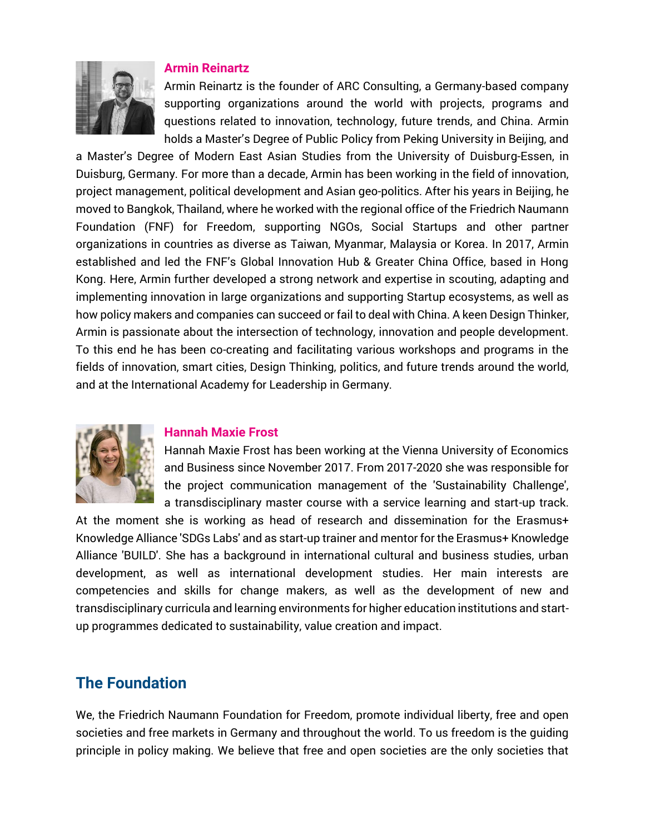

#### **Armin Reinartz**

Armin Reinartz is the founder of ARC Consulting, a Germany-based company supporting organizations around the world with projects, programs and questions related to innovation, technology, future trends, and China. Armin holds a Master's Degree of Public Policy from Peking University in Beijing, and

a Master's Degree of Modern East Asian Studies from the University of Duisburg-Essen, in Duisburg, Germany. For more than a decade, Armin has been working in the field of innovation, project management, political development and Asian geo-politics. After his years in Beijing, he moved to Bangkok, Thailand, where he worked with the regional office of the Friedrich Naumann Foundation (FNF) for Freedom, supporting NGOs, Social Startups and other partner organizations in countries as diverse as Taiwan, Myanmar, Malaysia or Korea. In 2017, Armin established and led the FNF's Global Innovation Hub & Greater China Office, based in Hong Kong. Here, Armin further developed a strong network and expertise in scouting, adapting and implementing innovation in large organizations and supporting Startup ecosystems, as well as how policy makers and companies can succeed or fail to deal with China. A keen Design Thinker, Armin is passionate about the intersection of technology, innovation and people development. To this end he has been co-creating and facilitating various workshops and programs in the fields of innovation, smart cities, Design Thinking, politics, and future trends around the world, and at the International Academy for Leadership in Germany.



#### **Hannah Maxie Frost**

Hannah Maxie Frost has been working at the Vienna University of Economics and Business since November 2017. From 2017-2020 she was responsible for the project communication management of the 'Sustainability Challenge', a transdisciplinary master course with a service learning and start-up track.

At the moment she is working as head of research and dissemination for the Erasmus+ Knowledge Alliance 'SDGs Labs' and as start-up trainer and mentor for the Erasmus+ Knowledge Alliance 'BUILD'. She has a background in international cultural and business studies, urban development, as well as international development studies. Her main interests are competencies and skills for change makers, as well as the development of new and transdisciplinary curricula and learning environments for higher education institutions and startup programmes dedicated to sustainability, value creation and impact.

### **The Foundation**

We, the Friedrich Naumann Foundation for Freedom, promote individual liberty, free and open societies and free markets in Germany and throughout the world. To us freedom is the guiding principle in policy making. We believe that free and open societies are the only societies that